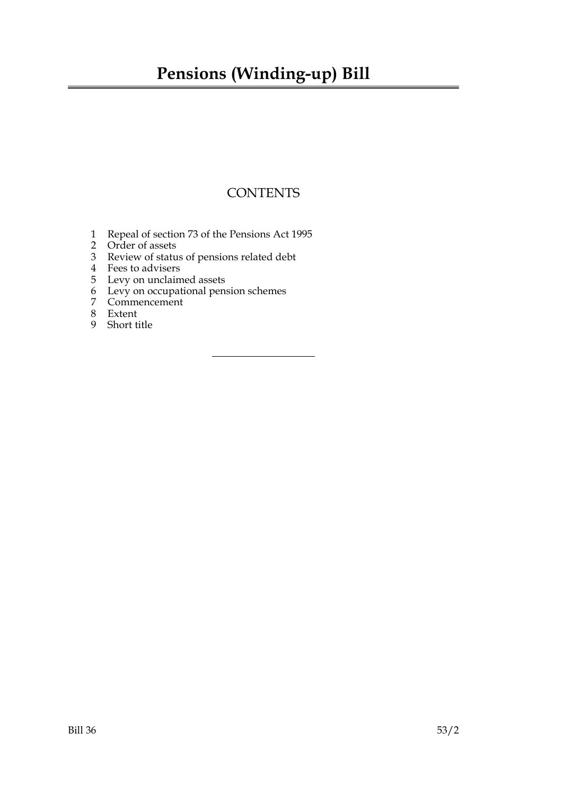## **Pensions (Winding-up) Bill**

## **CONTENTS**

- 1 Repeal of section 73 of the Pensions Act 1995
- 2 Order of assets
- 3 Review of status of pensions related debt
- 4 Fees to advisers
- 5 Levy on unclaimed assets
- 6 Levy on occupational pension schemes
- 7 Commencement
- 8 Extent
- 9 Short title

Bill 36 53/2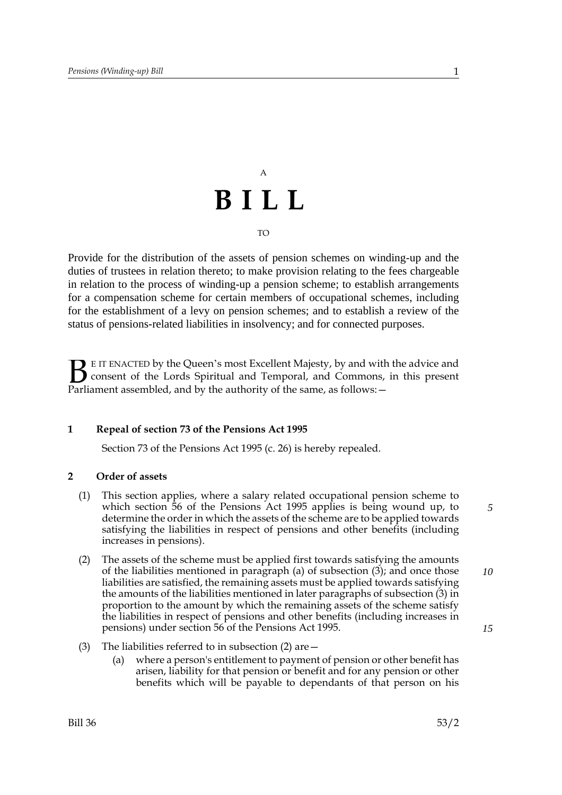## A **BILL** TO

Provide for the distribution of the assets of pension schemes on winding-up and the duties of trustees in relation thereto; to make provision relating to the fees chargeable in relation to the process of winding-up a pension scheme; to establish arrangements for a compensation scheme for certain members of occupational schemes, including for the establishment of a levy on pension schemes; and to establish a review of the status of pensions-related liabilities in insolvency; and for connected purposes.

E IT ENACTED by the Queen's most Excellent Majesty, by and with the advice and consent of the Lords Spiritual and Temporal, and Commons, in this present Parliament assembled, and by the authority of the same, as follows: - $\mathbf{B}_{\text{rel}}$ 

## **1 Repeal of section 73 of the Pensions Act 1995**

Section 73 of the Pensions Act 1995 (c. 26) is hereby repealed.

### **2 Order of assets**

- (1) This section applies, where a salary related occupational pension scheme to which section 56 of the Pensions Act 1995 applies is being wound up, to determine the order in which the assets of the scheme are to be applied towards satisfying the liabilities in respect of pensions and other benefits (including increases in pensions).
- (2) The assets of the scheme must be applied first towards satisfying the amounts of the liabilities mentioned in paragraph (a) of subsection (3); and once those liabilities are satisfied, the remaining assets must be applied towards satisfying the amounts of the liabilities mentioned in later paragraphs of subsection (3) in proportion to the amount by which the remaining assets of the scheme satisfy the liabilities in respect of pensions and other benefits (including increases in pensions) under section 56 of the Pensions Act 1995.
- (3) The liabilities referred to in subsection (2) are—
	- (a) where a person's entitlement to payment of pension or other benefit has arisen, liability for that pension or benefit and for any pension or other benefits which will be payable to dependants of that person on his

*5*

*10*

*15*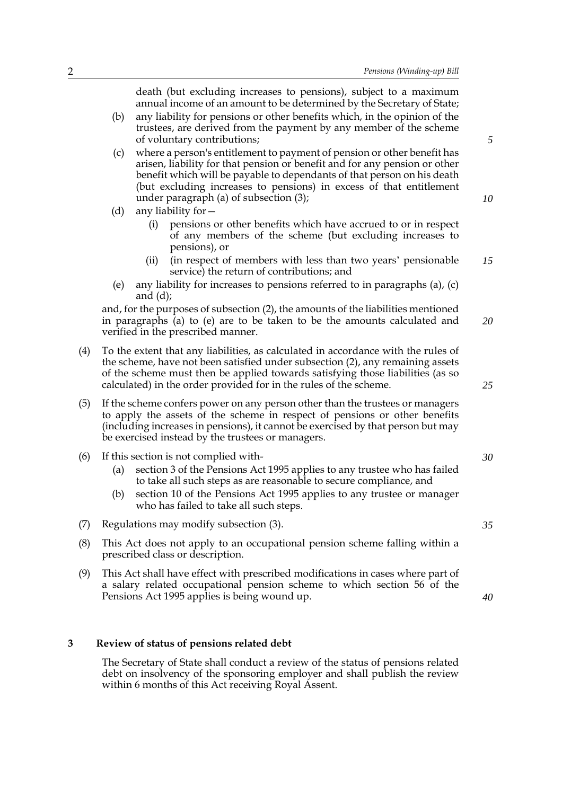2 *Pensions (Winding-up) Bill* death (but excluding increases to pensions), subject to a maximum annual income of an amount to be determined by the Secretary of State; (b) any liability for pensions or other benefits which, in the opinion of the trustees, are derived from the payment by any member of the scheme of voluntary contributions; (c) where a person's entitlement to payment of pension or other benefit has arisen, liability for that pension or benefit and for any pension or other benefit which will be payable to dependants of that person on his death (but excluding increases to pensions) in excess of that entitlement under paragraph (a) of subsection (3); (d) any liability for— (i) pensions or other benefits which have accrued to or in respect of any members of the scheme (but excluding increases to pensions), or (ii) (in respect of members with less than two years' pensionable service) the return of contributions; and (e) any liability for increases to pensions referred to in paragraphs (a), (c) and (d); and, for the purposes of subsection (2), the amounts of the liabilities mentioned in paragraphs (a) to (e) are to be taken to be the amounts calculated and verified in the prescribed manner. (4) To the extent that any liabilities, as calculated in accordance with the rules of the scheme, have not been satisfied under subsection (2), any remaining assets of the scheme must then be applied towards satisfying those liabilities (as so calculated) in the order provided for in the rules of the scheme. (5) If the scheme confers power on any person other than the trustees or managers to apply the assets of the scheme in respect of pensions or other benefits (including increases in pensions), it cannot be exercised by that person but may be exercised instead by the trustees or managers. (6) If this section is not complied with- (a) section 3 of the Pensions Act 1995 applies to any trustee who has failed to take all such steps as are reasonable to secure compliance, and (b) section 10 of the Pensions Act 1995 applies to any trustee or manager who has failed to take all such steps. (7) Regulations may modify subsection (3). (8) This Act does not apply to an occupational pension scheme falling within a prescribed class or description. (9) This Act shall have effect with prescribed modifications in cases where part of a salary related occupational pension scheme to which section 56 of the Pensions Act 1995 applies is being wound up. *15 20 30 35 40*

#### **3 Review of status of pensions related debt**

The Secretary of State shall conduct a review of the status of pensions related debt on insolvency of the sponsoring employer and shall publish the review within 6 months of this Act receiving Royal Assent.

*5*

*10*

*25*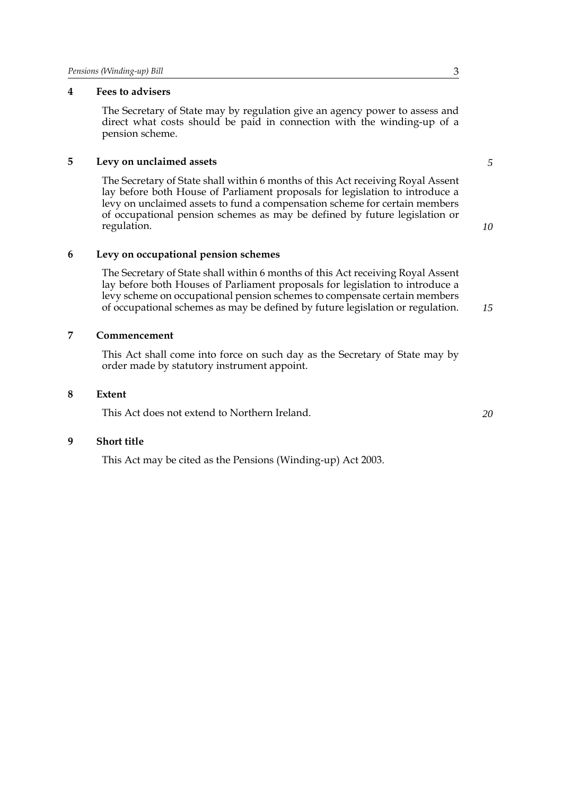## **4 Fees to advisers**

The Secretary of State may by regulation give an agency power to assess and direct what costs should be paid in connection with the winding-up of a pension scheme.

#### **5 Levy on unclaimed assets**

The Secretary of State shall within 6 months of this Act receiving Royal Assent lay before both House of Parliament proposals for legislation to introduce a levy on unclaimed assets to fund a compensation scheme for certain members of occupational pension schemes as may be defined by future legislation or regulation.

*10*

*15*

*5*

## **6 Levy on occupational pension schemes**

The Secretary of State shall within 6 months of this Act receiving Royal Assent lay before both Houses of Parliament proposals for legislation to introduce a levy scheme on occupational pension schemes to compensate certain members of occupational schemes as may be defined by future legislation or regulation.

### **7 Commencement**

This Act shall come into force on such day as the Secretary of State may by order made by statutory instrument appoint.

#### **8 Extent**

This Act does not extend to Northern Ireland.

#### **9 Short title**

This Act may be cited as the Pensions (Winding-up) Act 2003.

*20*